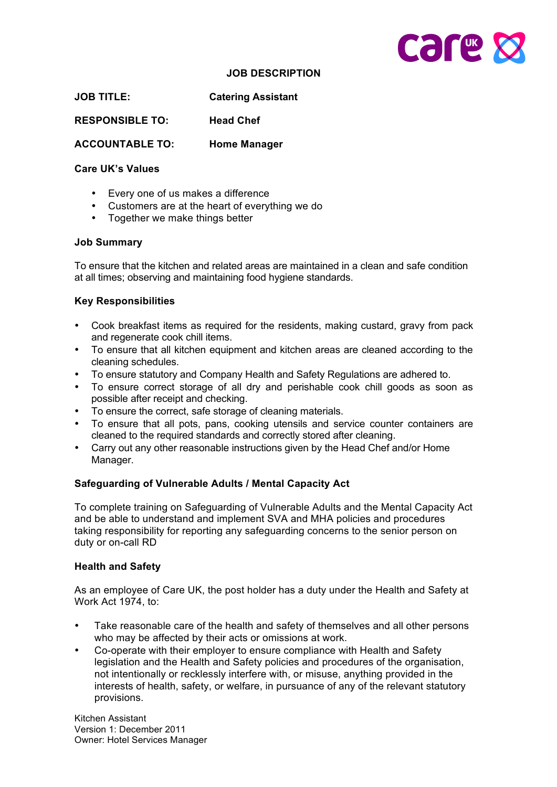

### **JOB DESCRIPTION**

**JOB TITLE: Catering Assistant**

**RESPONSIBLE TO: Head Chef**

**ACCOUNTABLE TO: Home Manager**

## **Care UK's Values**

- Every one of us makes a difference
- Customers are at the heart of everything we do
- Together we make things better

#### **Job Summary**

To ensure that the kitchen and related areas are maintained in a clean and safe condition at all times; observing and maintaining food hygiene standards.

## **Key Responsibilities**

- Cook breakfast items as required for the residents, making custard, gravy from pack and regenerate cook chill items.
- To ensure that all kitchen equipment and kitchen areas are cleaned according to the cleaning schedules.
- To ensure statutory and Company Health and Safety Regulations are adhered to.
- To ensure correct storage of all dry and perishable cook chill goods as soon as possible after receipt and checking.
- To ensure the correct, safe storage of cleaning materials.
- To ensure that all pots, pans, cooking utensils and service counter containers are cleaned to the required standards and correctly stored after cleaning.
- Carry out any other reasonable instructions given by the Head Chef and/or Home Manager.

# **Safeguarding of Vulnerable Adults / Mental Capacity Act**

To complete training on Safeguarding of Vulnerable Adults and the Mental Capacity Act and be able to understand and implement SVA and MHA policies and procedures taking responsibility for reporting any safeguarding concerns to the senior person on duty or on-call RD

#### **Health and Safety**

As an employee of Care UK, the post holder has a duty under the Health and Safety at Work Act 1974, to:

- Take reasonable care of the health and safety of themselves and all other persons who may be affected by their acts or omissions at work.
- Co-operate with their employer to ensure compliance with Health and Safety legislation and the Health and Safety policies and procedures of the organisation, not intentionally or recklessly interfere with, or misuse, anything provided in the interests of health, safety, or welfare, in pursuance of any of the relevant statutory provisions.

Kitchen Assistant Version 1: December 2011 Owner: Hotel Services Manager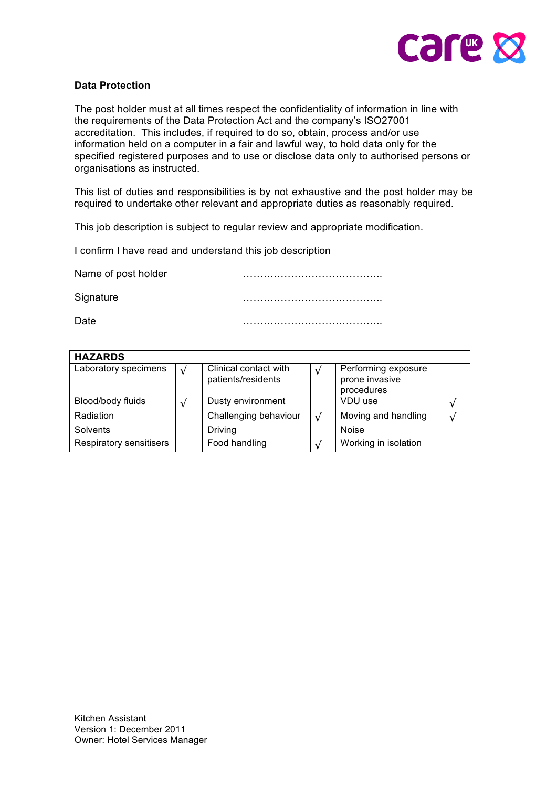

# **Data Protection**

The post holder must at all times respect the confidentiality of information in line with the requirements of the Data Protection Act and the company's ISO27001 accreditation. This includes, if required to do so, obtain, process and/or use information held on a computer in a fair and lawful way, to hold data only for the specified registered purposes and to use or disclose data only to authorised persons or organisations as instructed.

This list of duties and responsibilities is by not exhaustive and the post holder may be required to undertake other relevant and appropriate duties as reasonably required.

This job description is subject to regular review and appropriate modification.

I confirm I have read and understand this job description

Name of post holder manufacturers and manufacturers and manufacturers of post holder Signature **Example 20** and 20 and 20 and 20 and 20 and 20 and 20 and 20 and 20 and 20 and 20 and 20 and 20 and 20 and 20 and 20 and 20 and 20 and 20 and 20 and 20 and 20 and 20 and 20 and 20 and 20 and 20 and 20 and 20 and Date …………………………………..

| <b>HAZARDS</b>          |                                             |            |                                                     |  |
|-------------------------|---------------------------------------------|------------|-----------------------------------------------------|--|
| Laboratory specimens    | Clinical contact with<br>patients/residents |            | Performing exposure<br>prone invasive<br>procedures |  |
| Blood/body fluids       | Dusty environment                           |            | VDU use                                             |  |
| Radiation               | Challenging behaviour                       | $\sqrt{ }$ | Moving and handling                                 |  |
| Solvents                | <b>Driving</b>                              |            | <b>Noise</b>                                        |  |
| Respiratory sensitisers | Food handling                               |            | Working in isolation                                |  |